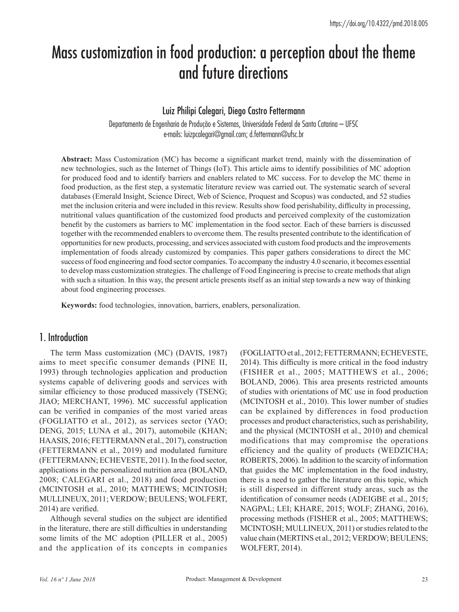# Mass customization in food production: a perception about the theme and future directions

# Luiz Philipi Calegari, Diego Castro Fettermann

Departamento de Engenharia de Produção e Sistemas, Universidade Federal de Santa Catarina – UFSC e-mails: luizpcalegari@gmail.com; d.fettermann@ufsc.br

**Abstract:** Mass Customization (MC) has become a significant market trend, mainly with the dissemination of new technologies, such as the Internet of Things (IoT). This article aims to identify possibilities of MC adoption for produced food and to identify barriers and enablers related to MC success. For to develop the MC theme in food production, as the first step, a systematic literature review was carried out. The systematic search of several databases (Emerald Insight, Science Direct, Web of Science, Proquest and Scopus) was conducted, and 52 studies met the inclusion criteria and were included in this review. Results show food perishability, difficulty in processing, nutritional values quantification of the customized food products and perceived complexity of the customization benefit by the customers as barriers to MC implementation in the food sector. Each of these barriers is discussed together with the recommended enablers to overcome them. The results presented contribute to the identification of opportunities for new products, processing, and services associated with custom food products and the improvements implementation of foods already customized by companies. This paper gathers considerations to direct the MC success of food engineering and food sector companies. To accompany the industry 4.0 scenario, it becomes essential to develop mass customization strategies. The challenge of Food Engineering is precise to create methods that align with such a situation. In this way, the present article presents itself as an initial step towards a new way of thinking about food engineering processes.

**Keywords:** food technologies, innovation, barriers, enablers, personalization.

# 1. Introduction

The term Mass customization (MC) (DAVIS, 1987) aims to meet specific consumer demands (PINE II, 1993) through technologies application and production systems capable of delivering goods and services with similar efficiency to those produced massively (TSENG; JIAO; MERCHANT, 1996). MC successful application can be verified in companies of the most varied areas (FOGLIATTO et al., 2012), as services sector (YAO; DENG, 2015; LUNA et al., 2017), automobile (KHAN; HAASIS, 2016; FETTERMANN et al., 2017), construction (FETTERMANN et al., 2019) and modulated furniture (FETTERMANN; ECHEVESTE, 2011). In the food sector, applications in the personalized nutrition area (BOLAND, 2008; CALEGARI et al., 2018) and food production (MCINTOSH et al., 2010; MATTHEWS; MCINTOSH; MULLINEUX, 2011; VERDOW; BEULENS; WOLFERT, 2014) are verified.

Although several studies on the subject are identified in the literature, there are still difficulties in understanding some limits of the MC adoption (PILLER et al., 2005) and the application of its concepts in companies (FOGLIATTO et al., 2012; FETTERMANN; ECHEVESTE, 2014). This difficulty is more critical in the food industry (FISHER et al., 2005; MATTHEWS et al., 2006; BOLAND, 2006). This area presents restricted amounts of studies with orientations of MC use in food production (MCINTOSH et al., 2010). This lower number of studies can be explained by differences in food production processes and product characteristics, such as perishability, and the physical (MCINTOSH et al., 2010) and chemical modifications that may compromise the operations efficiency and the quality of products (WEDZICHA; ROBERTS, 2006). In addition to the scarcity of information that guides the MC implementation in the food industry, there is a need to gather the literature on this topic, which is still dispersed in different study areas, such as the identification of consumer needs (ADEIGBE et al., 2015; NAGPAL; LEI; KHARE, 2015; WOLF; ZHANG, 2016), processing methods (FISHER et al., 2005; MATTHEWS; MCINTOSH; MULLINEUX, 2011) or studies related to the value chain (MERTINS et al., 2012; VERDOW; BEULENS; WOLFERT, 2014).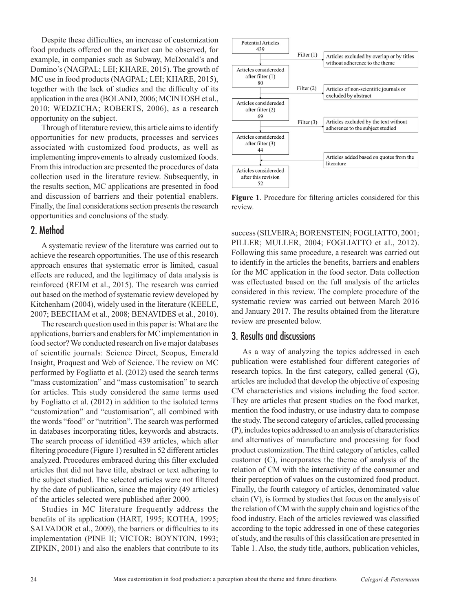Despite these difficulties, an increase of customization food products offered on the market can be observed, for example, in companies such as Subway, McDonald's and Domino's (NAGPAL; LEI; KHARE, 2015). The growth of MC use in food products (NAGPAL; LEI; KHARE, 2015), together with the lack of studies and the difficulty of its application in the area (BOLAND, 2006; MCINTOSH et al., 2010; WEDZICHA; ROBERTS, 2006), as a research opportunity on the subject.

Through of literature review, this article aims to identify opportunities for new products, processes and services associated with customized food products, as well as implementing improvements to already customized foods. From this introduction are presented the procedures of data collection used in the literature review. Subsequently, in the results section, MC applications are presented in food and discussion of barriers and their potential enablers. Finally, the final considerations section presents the research opportunities and conclusions of the study.

#### 2. Method

A systematic review of the literature was carried out to achieve the research opportunities. The use of this research approach ensures that systematic error is limited, casual effects are reduced, and the legitimacy of data analysis is reinforced (REIM et al., 2015). The research was carried out based on the method of systematic review developed by Kitchenham (2004), widely used in the literature (KEELE, 2007; BEECHAM et al., 2008; BENAVIDES et al., 2010).

The research question used in this paper is: What are the applications, barriers and enablers for MC implementation in food sector? We conducted research on five major databases of scientific journals: Science Direct, Scopus, Emerald Insight, Proquest and Web of Science. The review on MC performed by Fogliatto et al. (2012) used the search terms "mass customization" and "mass customisation" to search for articles. This study considered the same terms used by Fogliatto et al. (2012) in addition to the isolated terms "customization" and "customisation", all combined with the words "food" or "nutrition". The search was performed in databases incorporating titles, keywords and abstracts. The search process of identified 439 articles, which after filtering procedure (Figure 1) resulted in 52 different articles analyzed. Procedures embraced during this filter excluded articles that did not have title, abstract or text adhering to the subject studied. The selected articles were not filtered by the date of publication, since the majority (49 articles) of the articles selected were published after 2000.

Studies in MC literature frequently address the benefits of its application (HART, 1995; KOTHA, 1995; SALVADOR et al., 2009), the barriers or difficulties to its implementation (PINE II; VICTOR; BOYNTON, 1993; ZIPKIN, 2001) and also the enablers that contribute to its



**Figure 1**. Procedure for filtering articles considered for this review.

success (SILVEIRA; BORENSTEIN; FOGLIATTO, 2001; PILLER; MULLER, 2004; FOGLIATTO et al., 2012). Following this same procedure, a research was carried out to identify in the articles the benefits, barriers and enablers for the MC application in the food sector. Data collection was effectuated based on the full analysis of the articles considered in this review. The complete procedure of the systematic review was carried out between March 2016 and January 2017. The results obtained from the literature review are presented below.

# 3. Results and discussions

As a way of analyzing the topics addressed in each publication were established four different categories of research topics. In the first category, called general (G), articles are included that develop the objective of exposing CM characteristics and visions including the food sector. They are articles that present studies on the food market, mention the food industry, or use industry data to compose the study. The second category of articles, called processing (P), includes topics addressed to an analysis of characteristics and alternatives of manufacture and processing for food product customization. The third category of articles, called customer (C), incorporates the theme of analysis of the relation of CM with the interactivity of the consumer and their perception of values on the customized food product. Finally, the fourth category of articles, denominated value chain (V), is formed by studies that focus on the analysis of the relation of CM with the supply chain and logistics of the food industry. Each of the articles reviewed was classified according to the topic addressed in one of these categories of study, and the results of this classification are presented in Table 1. Also, the study title, authors, publication vehicles,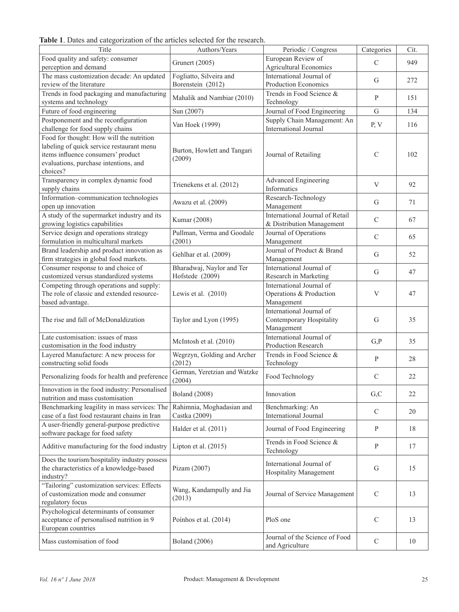**Table 1**. Dates and categorization of the articles selected for the research.

| Title                                                                                                                                                                            | Authors/Years                                | Periodic / Congress                                                | Categories    | Cit. |
|----------------------------------------------------------------------------------------------------------------------------------------------------------------------------------|----------------------------------------------|--------------------------------------------------------------------|---------------|------|
| Food quality and safety: consumer<br>perception and demand                                                                                                                       | Grunert (2005)                               | European Review of<br><b>Agricultural Economics</b>                | $\mathcal{C}$ | 949  |
| The mass customization decade: An updated<br>review of the literature                                                                                                            | Fogliatto, Silveira and<br>Borenstein (2012) | International Journal of<br>Production Economics                   | G             | 272  |
| Trends in food packaging and manufacturing<br>systems and technology                                                                                                             | Mahalik and Nambiar (2010)                   | Trends in Food Science &<br>Technology                             | P             | 151  |
| Future of food engineering                                                                                                                                                       | Sun (2007)                                   | Journal of Food Engineering                                        | G             | 134  |
| Postponement and the reconfiguration                                                                                                                                             |                                              | Supply Chain Management: An                                        |               |      |
| challenge for food supply chains                                                                                                                                                 | Van Hoek (1999)                              | International Journal                                              | P, V          | 116  |
| Food for thought: How will the nutrition<br>labeling of quick service restaurant menu<br>items influence consumers' product<br>evaluations, purchase intentions, and<br>choices? | Burton, Howlett and Tangari<br>(2009)        | Journal of Retailing                                               | $\mathcal{C}$ | 102  |
| Transparency in complex dynamic food<br>supply chains                                                                                                                            | Trienekens et al. (2012)                     | <b>Advanced Engineering</b><br>Informatics                         | V             | 92   |
| Information-communication technologies<br>open up innovation                                                                                                                     | Awazu et al. (2009)                          | Research-Technology<br>Management                                  | G             | 71   |
| A study of the supermarket industry and its<br>growing logistics capabilities                                                                                                    | Kumar (2008)                                 | International Journal of Retail<br>& Distribution Management       | $\mathbf C$   | 67   |
| Service design and operations strategy<br>formulation in multicultural markets                                                                                                   | Pullman, Verma and Goodale<br>(2001)         | Journal of Operations<br>Management                                | $\mathsf C$   | 65   |
| Brand leadership and product innovation as<br>firm strategies in global food markets.                                                                                            | Gehlhar et al. (2009)                        | Journal of Product & Brand<br>Management                           | G             | 52   |
| Consumer response to and choice of<br>customized versus standardized systems                                                                                                     | Bharadwaj, Naylor and Ter<br>Hofstede (2009) | International Journal of<br>Research in Marketing                  | G             | 47   |
| Competing through operations and supply:<br>The role of classic and extended resource-<br>based advantage.                                                                       | Lewis et al. $(2010)$                        | International Journal of<br>Operations & Production<br>Management  | $\mathbf V$   | 47   |
| The rise and fall of McDonaldization                                                                                                                                             | Taylor and Lyon (1995)                       | International Journal of<br>Contemporary Hospitality<br>Management | G             | 35   |
| Late customisation: issues of mass<br>customisation in the food industry                                                                                                         | McIntosh et al. (2010)                       | International Journal of<br><b>Production Research</b>             | G, P          | 35   |
| Layered Manufacture: A new process for<br>constructing solid foods                                                                                                               | Wegrzyn, Golding and Archer<br>(2012)        | Trends in Food Science &<br>Technology                             | P             | 28   |
| Personalizing foods for health and preference                                                                                                                                    | German, Yeretzian and Watzke<br>(2004)       | Food Technology                                                    | $\mathbf C$   | 22   |
| Innovation in the food industry: Personalised<br>nutrition and mass customisation                                                                                                | <b>Boland</b> (2008)                         | Innovation                                                         | G, C          | 22   |
| Benchmarking leagility in mass services: The<br>case of a fast food restaurant chains in Iran                                                                                    | Rahimnia, Moghadasian and<br>Castka (2009)   | Benchmarking: An<br><b>International Journal</b>                   | $\mathcal{C}$ | 20   |
| A user-friendly general-purpose predictive<br>software package for food safety                                                                                                   | Halder et al. (2011)                         | Journal of Food Engineering                                        | P             | 18   |
| Additive manufacturing for the food industry                                                                                                                                     | Lipton et al. $(2015)$                       | Trends in Food Science &<br>Technology                             | P             | 17   |
| Does the tourism/hospitality industry possess<br>the characteristics of a knowledge-based<br>industry?                                                                           | Pizam (2007)                                 | International Journal of<br><b>Hospitality Management</b>          | G             | 15   |
| "Tailoring" customization services: Effects<br>of customization mode and consumer<br>regulatory focus                                                                            | Wang, Kandampully and Jia<br>(2013)          | Journal of Service Management                                      | $\mathcal{C}$ | 13   |
| Psychological determinants of consumer<br>acceptance of personalised nutrition in 9<br>European countries                                                                        | Poínhos et al. (2014)                        | PloS one                                                           | $\mathcal{C}$ | 13   |
| Mass customisation of food                                                                                                                                                       | <b>Boland</b> (2006)                         | Journal of the Science of Food<br>and Agriculture                  | $\mathbf C$   | 10   |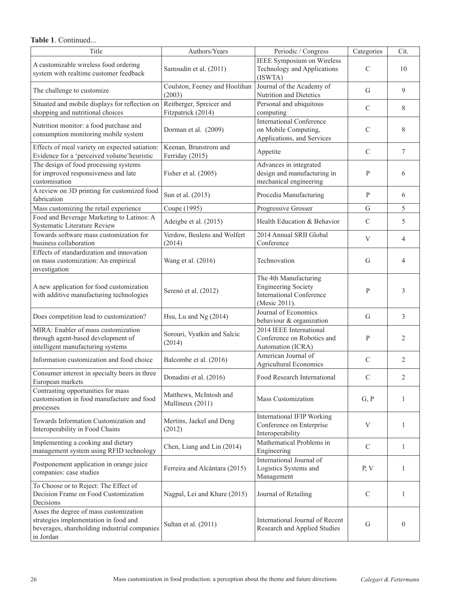#### **Table 1**. Continued...

| Title                                                                                                                                        | Authors/Years                                                                                                                   | Periodic / Congress                                                                   | Categories    | Cit.           |
|----------------------------------------------------------------------------------------------------------------------------------------------|---------------------------------------------------------------------------------------------------------------------------------|---------------------------------------------------------------------------------------|---------------|----------------|
| A customizable wireless food ordering<br>system with realtime customer feedback                                                              | Samsudin et al. (2011)                                                                                                          | <b>IEEE Symposium on Wireless</b><br>Technology and Applications<br>(ISWTA)           | $\mathcal{C}$ | 10             |
| The challenge to customize                                                                                                                   | Coulston, Feeney and Hoolihan<br>(2003)                                                                                         | Journal of the Academy of<br>Nutrition and Dietetics                                  | G             | 9              |
| Situated and mobile displays for reflection on<br>shopping and nutritional choices                                                           | Reitberger, Spreicer and<br>Fitzpatrick (2014)                                                                                  | Personal and ubiquitous<br>computing                                                  | $\mathcal{C}$ | 8              |
| Nutrition monitor: a food purchase and<br>consumption monitoring mobile system                                                               | Dorman et al. (2009)                                                                                                            | <b>International Conference</b><br>on Mobile Computing,<br>Applications, and Services | $\mathcal{C}$ | 8              |
| Effects of meal variety on expected satiation:<br>Evidence for a 'perceived volume'heuristic                                                 | Keenan, Brunstrom and<br>Ferriday (2015)                                                                                        | Appetite                                                                              | $\mathcal{C}$ | 7              |
| The design of food processing systems<br>for improved responsiveness and late<br>customisation                                               | Fisher et al. (2005)                                                                                                            | Advances in integrated<br>design and manufacturing in<br>mechanical engineering       | P             | 6              |
| A review on 3D printing for customized food<br>fabrication                                                                                   | Sun et al. (2015)                                                                                                               | Procedia Manufacturing                                                                | P             | 6              |
| Mass customizing the retail experience                                                                                                       | Coupe (1995)                                                                                                                    | Progressive Grosser                                                                   | ${\bf G}$     | 5              |
| Food and Beverage Marketing to Latinos: A<br>Systematic Literature Review                                                                    | Adeigbe et al. (2015)                                                                                                           | Health Education & Behavior                                                           | $\mathcal{C}$ | 5              |
| Towards software mass customization for<br>business collaboration                                                                            | Verdow, Beulens and Wolfert<br>(2014)                                                                                           | 2014 Annual SRII Global<br>Conference                                                 | V             | $\overline{4}$ |
| Effects of standardization and innovation<br>on mass customization: An empirical<br>investigation                                            | Wang et al. (2016)                                                                                                              | Technovation                                                                          | G             | 4              |
| A new application for food customization<br>with additive manufacturing technologies                                                         | The 4th Manufacturing<br><b>Engineering Society</b><br>Serenó et al. (2012)<br><b>International Conference</b><br>(Mesic 2011). |                                                                                       | P             | 3              |
| Does competition lead to customization?                                                                                                      | Hsu, Lu and Ng $(2014)$                                                                                                         | Journal of Economics<br>behaviour & organization                                      | G             | 3              |
| MIRA: Enabler of mass customization<br>through agent-based development of<br>intelligent manufacturing systems                               | Sorouri, Vyatkin and Salcic<br>(2014)                                                                                           | 2014 IEEE International<br>Conference on Robotics and<br>Automation (ICRA)            | P             | $\overline{2}$ |
| Information customization and food choice                                                                                                    | Balcombe et al. (2016)                                                                                                          | American Journal of<br><b>Agricultural Economics</b>                                  | $\mathcal{C}$ | 2              |
| Consumer interest in specialty beers in three<br>European markets                                                                            | Donadini et al. (2016)                                                                                                          | Food Research International                                                           | $\mathcal{C}$ | $\overline{2}$ |
| Contrasting opportunities for mass<br>customisation in food manufacture and food<br>processes                                                | Matthews, McIntosh and<br>Mullineux (2011)                                                                                      | <b>Mass Customization</b>                                                             | G, P          | 1              |
| Towards Information Customization and<br>Interoperability in Food Chains                                                                     | International IFIP Working<br>Mertins, Jaekel and Deng<br>Conference on Enterprise<br>(2012)<br>Interoperability                |                                                                                       | V             | 1              |
| Implementing a cooking and dietary<br>management system using RFID technology                                                                | Chen, Liang and Lin (2014)                                                                                                      | Mathematical Problems in<br>Engineering                                               | $\mathcal{C}$ | 1              |
| Postponement application in orange juice<br>companies: case studies                                                                          | Ferreira and Alcântara (2015)                                                                                                   | International Journal of<br>Logistics Systems and<br>Management                       | P, V          | 1              |
| To Choose or to Reject: The Effect of<br>Decision Frame on Food Customization<br>Decisions                                                   | Nagpal, Lei and Khare (2015)                                                                                                    | Journal of Retailing                                                                  | $\mathcal{C}$ | 1              |
| Asses the degree of mass customization<br>strategies implementation in food and<br>beverages, shareholding industrial companies<br>in Jordan | Sultan et al. (2011)                                                                                                            | International Journal of Recent<br>Research and Applied Studies                       | G             | $\mathbf{0}$   |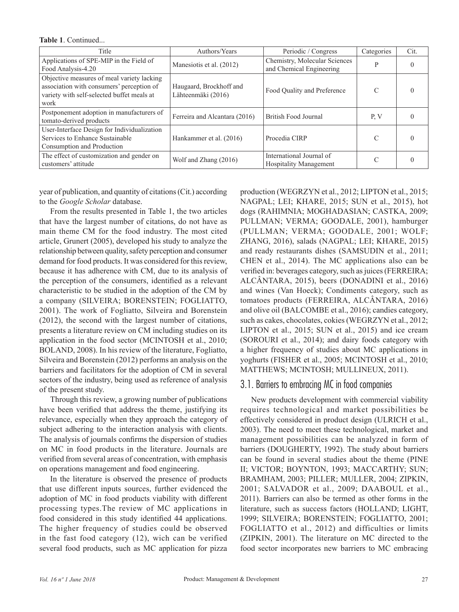**Table 1**. Continued...

| Title                                                                                                                                         | Authors/Years                                 | Periodic / Congress                                       | Categories    | Cit.     |
|-----------------------------------------------------------------------------------------------------------------------------------------------|-----------------------------------------------|-----------------------------------------------------------|---------------|----------|
| Applications of SPE-MIP in the Field of<br>Food Analysis-4.20                                                                                 | Manesiotis et al. (2012)                      | Chemistry, Molecular Sciences<br>and Chemical Engineering | P             | $\Omega$ |
| Objective measures of meal variety lacking<br>association with consumers' perception of<br>variety with self-selected buffet meals at<br>work | Haugaard, Brockhoff and<br>Lähteenmäki (2016) | Food Quality and Preference                               |               | $\theta$ |
| Postponement adoption in manufacturers of<br>tomato-derived products                                                                          | Ferreira and Alcantara (2016)                 | British Food Journal                                      | P, V          |          |
| User-Interface Design for Individualization<br>Services to Enhance Sustainable<br>Consumption and Production                                  | Hankammer et al. (2016)                       | Procedia CIRP                                             | $\mathcal{C}$ |          |
| The effect of customization and gender on<br>customers' attitude                                                                              | Wolf and Zhang $(2016)$                       | International Journal of<br><b>Hospitality Management</b> |               |          |

year of publication, and quantity of citations (Cit.) according to the *Google Scholar* database.

From the results presented in Table 1, the two articles that have the largest number of citations, do not have as main theme CM for the food industry. The most cited article, Grunert (2005), developed his study to analyze the relationship between quality, safety perception and consumer demand for food products. It was considered for this review, because it has adherence with CM, due to its analysis of the perception of the consumers, identified as a relevant characteristic to be studied in the adoption of the CM by a company (SILVEIRA; BORENSTEIN; FOGLIATTO, 2001). The work of Fogliatto, Silveira and Borenstein (2012), the second with the largest number of citations, presents a literature review on CM including studies on its application in the food sector (MCINTOSH et al., 2010; BOLAND, 2008). In his review of the literature, Fogliatto, Silveira and Borenstein (2012) performs an analysis on the barriers and facilitators for the adoption of CM in several sectors of the industry, being used as reference of analysis of the present study.

Through this review, a growing number of publications have been verified that address the theme, justifying its relevance, especially when they approach the category of subject adhering to the interaction analysis with clients. The analysis of journals confirms the dispersion of studies on MC in food products in the literature. Journals are verified from several areas of concentration, with emphasis on operations management and food engineering.

In the literature is observed the presence of products that use different inputs sources, further evidenced the adoption of MC in food products viability with different processing types.The review of MC applications in food considered in this study identified 44 applications. The higher frequency of studies could be observed in the fast food category (12), wich can be verified several food products, such as MC application for pizza production (WEGRZYN et al., 2012; LIPTON et al., 2015; NAGPAL; LEI; KHARE, 2015; SUN et al., 2015), hot dogs (RAHIMNIA; MOGHADASIAN; CASTKA, 2009; PULLMAN; VERMA; GOODALE, 2001), hamburger (PULLMAN; VERMA; GOODALE, 2001; WOLF; ZHANG, 2016), salads (NAGPAL; LEI; KHARE, 2015) and ready restaurants dishes (SAMSUDIN et al., 2011; CHEN et al., 2014). The MC applications also can be verified in: beverages category, such as juices (FERREIRA; ALCÂNTARA, 2015), beers (DONADINI et al., 2016) and wines (Van Hoeck); Condiments category, such as tomatoes products (FERREIRA, ALCÂNTARA, 2016) and olive oil (BALCOMBE et al., 2016); candies category, such as cakes, chocolates, cokies (WEGRZYN et al., 2012; LIPTON et al., 2015; SUN et al., 2015) and ice cream (SOROURI et al., 2014); and dairy foods category with a higher frequency of studies about MC applications in yoghurts (FISHER et al., 2005; MCINTOSH et al., 2010; MATTHEWS; MCINTOSH; MULLINEUX, 2011).

# 3.1. Barriers to embracing MC in food companies

New products development with commercial viability requires technological and market possibilities be effectively considered in product design (ULRICH et al., 2003). The need to meet these technological, market and management possibilities can be analyzed in form of barriers (DOUGHERTY, 1992). The study about barriers can be found in several studies about the theme (PINE II; VICTOR; BOYNTON, 1993; MACCARTHY; SUN; BRAMHAM, 2003; PILLER; MULLER, 2004; ZIPKIN, 2001; SALVADOR et al., 2009; DAABOUL et al., 2011). Barriers can also be termed as other forms in the literature, such as success factors (HOLLAND; LIGHT, 1999; SILVEIRA; BORENSTEIN; FOGLIATTO, 2001; FOGLIATTO et al., 2012) and difficulties or limits (ZIPKIN, 2001). The literature on MC directed to the food sector incorporates new barriers to MC embracing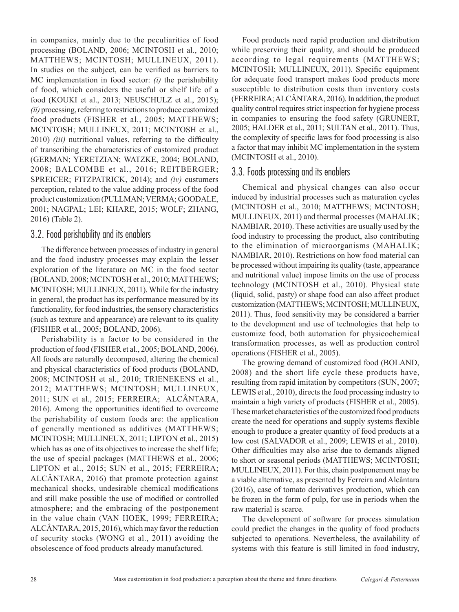in companies, mainly due to the peculiarities of food processing (BOLAND, 2006; MCINTOSH et al., 2010; MATTHEWS; MCINTOSH; MULLINEUX, 2011). In studies on the subject, can be verified as barriers to MC implementation in food sector: *(i)* the perishability of food, which considers the useful or shelf life of a food (KOUKI et al., 2013; NEUSCHULZ et al., 2015); *(ii)* processing, referring to restrictions to produce customized food products (FISHER et al., 2005; MATTHEWS; MCINTOSH; MULLINEUX, 2011; MCINTOSH et al., 2010) *(iii)* nutritional values, referring to the difficulty of transcribing the characteristics of customized product (GERMAN; YERETZIAN; WATZKE, 2004; BOLAND, 2008; BALCOMBE et al., 2016; REITBERGER; SPREICER; FITZPATRICK, 2014); and *(iv)* custumers perception, related to the value adding process of the food product customization (PULLMAN; VERMA; GOODALE, 2001; NAGPAL; LEI; KHARE, 2015; WOLF; ZHANG, 2016) (Table 2).

# 3.2. Food perishability and its enablers

The difference between processes of industry in general and the food industry processes may explain the lesser exploration of the literature on MC in the food sector (BOLAND, 2008; MCINTOSH et al., 2010; MATTHEWS; MCINTOSH; MULLINEUX, 2011). While for the industry in general, the product has its performance measured by its functionality, for food industries, the sensory characteristics (such as texture and appearance) are relevant to its quality (FISHER et al., 2005; BOLAND, 2006).

Perishability is a factor to be considered in the production of food (FISHER et al., 2005; BOLAND, 2006). All foods are naturally decomposed, altering the chemical and physical characteristics of food products (BOLAND, 2008; MCINTOSH et al., 2010; TRIENEKENS et al., 2012; MATTHEWS; MCINTOSH; MULLINEUX, 2011; SUN et al., 2015; FERREIRA; ALCÂNTARA, 2016). Among the opportunities identified to overcome the perishability of custom foods are: the application of generally mentioned as additives (MATTHEWS; MCINTOSH; MULLINEUX, 2011; LIPTON et al., 2015) which has as one of its objectives to increase the shelf life; the use of special packages (MATTHEWS et al., 2006; LIPTON et al., 2015; SUN et al., 2015; FERREIRA; ALCÂNTARA, 2016) that promote protection against mechanical shocks, undesirable chemical modifications and still make possible the use of modified or controlled atmosphere; and the embracing of the postponement in the value chain (VAN HOEK, 1999; FERREIRA; ALCÂNTARA, 2015, 2016), which may favor the reduction of security stocks (WONG et al., 2011) avoiding the obsolescence of food products already manufactured.

Food products need rapid production and distribution while preserving their quality, and should be produced according to legal requirements (MATTHEWS; MCINTOSH; MULLINEUX, 2011). Specific equipment for adequate food transport makes food products more susceptible to distribution costs than inventory costs (FERREIRA; ALCÂNTARA, 2016). In addition, the product quality control requires strict inspection for hygiene process in companies to ensuring the food safety (GRUNERT, 2005; HALDER et al., 2011; SULTAN et al., 2011). Thus, the complexity of specific laws for food processing is also a factor that may inhibit MC implementation in the system (MCINTOSH et al., 2010).

# 3.3. Foods processing and its enablers

Chemical and physical changes can also occur induced by industrial processes such as maturation cycles (MCINTOSH et al., 2010; MATTHEWS; MCINTOSH; MULLINEUX, 2011) and thermal processes (MAHALIK; NAMBIAR, 2010). These activities are usually used by the food industry to processing the product, also contributing to the elimination of microorganisms (MAHALIK; NAMBIAR, 2010). Restrictions on how food material can be processed without impairing its quality (taste, appearance and nutritional value) impose limits on the use of process technology (MCINTOSH et al., 2010). Physical state (liquid, solid, pasty) or shape food can also affect product customization (MATTHEWS; MCINTOSH; MULLINEUX, 2011). Thus, food sensitivity may be considered a barrier to the development and use of technologies that help to customize food, both automation for physicochemical transformation processes, as well as production control operations (FISHER et al., 2005).

The growing demand of customized food (BOLAND, 2008) and the short life cycle these products have, resulting from rapid imitation by competitors (SUN, 2007; LEWIS et al., 2010), directs the food processing industry to maintain a high variety of products (FISHER et al., 2005). These market characteristics of the customized food products create the need for operations and supply systems flexible enough to produce a greater quantity of food products at a low cost (SALVADOR et al., 2009; LEWIS et al., 2010). Other difficulties may also arise due to demands aligned to short or seasonal periods (MATTHEWS; MCINTOSH; MULLINEUX, 2011). For this, chain postponement may be a viable alternative, as presented by Ferreira and Alcântara (2016), case of tomato derivatives production, which can be frozen in the form of pulp, for use in periods when the raw material is scarce.

The development of software for process simulation could predict the changes in the quality of food products subjected to operations. Nevertheless, the availability of systems with this feature is still limited in food industry,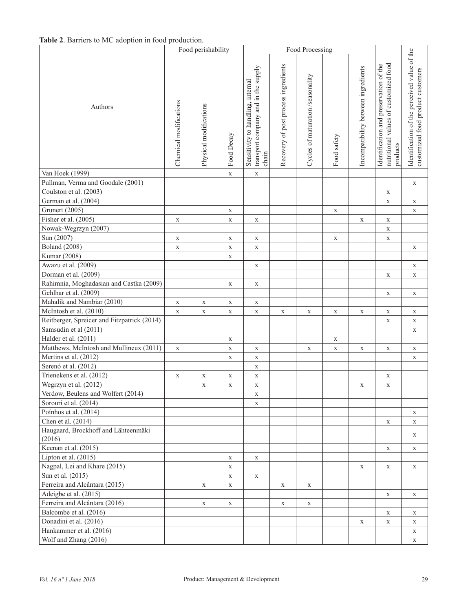| Table 2. Barriers to MC adoption in food production. |  |  |  |  |
|------------------------------------------------------|--|--|--|--|
|------------------------------------------------------|--|--|--|--|

|                                               | Food perishability     |                        |              | Food Processing                                                                   |                                      |                                   |             |                                     |                                                                                             |                                                                                   |
|-----------------------------------------------|------------------------|------------------------|--------------|-----------------------------------------------------------------------------------|--------------------------------------|-----------------------------------|-------------|-------------------------------------|---------------------------------------------------------------------------------------------|-----------------------------------------------------------------------------------|
|                                               |                        |                        |              |                                                                                   |                                      |                                   |             |                                     |                                                                                             |                                                                                   |
| Authors                                       | Chemical modifications | Physical modifications | Food Decay   | transport company and in the supply<br>Sensitivity to handling, internal<br>chain | Recovery of post process ingredients | Cycles of maturation /seasonality | Food safety | Incompatibility between ingredients | nutritional values of customized food<br>Identification and preservation of the<br>products | Identification of the perceived value of the<br>customized food product customers |
| Van Hoek (1999)                               |                        |                        | $\mathbf X$  | $\mathbf X$                                                                       |                                      |                                   |             |                                     |                                                                                             |                                                                                   |
| Pullman, Verma and Goodale (2001)             |                        |                        |              |                                                                                   |                                      |                                   |             |                                     |                                                                                             | $\mathbf X$                                                                       |
| Coulston et al. (2003)                        |                        |                        |              |                                                                                   |                                      |                                   |             |                                     | X                                                                                           |                                                                                   |
| German et al. (2004)                          |                        |                        |              |                                                                                   |                                      |                                   |             |                                     | $\mathbf X$                                                                                 | X                                                                                 |
| Grunert (2005)                                |                        |                        | $\mathbf X$  |                                                                                   |                                      |                                   | X           |                                     |                                                                                             | X                                                                                 |
| Fisher et al. (2005)                          | X                      |                        | $\mathbf X$  | X                                                                                 |                                      |                                   |             | X                                   | X                                                                                           |                                                                                   |
| Nowak-Wegrzyn (2007)                          |                        |                        |              |                                                                                   |                                      |                                   |             |                                     | $\mathbf X$                                                                                 |                                                                                   |
| Sun (2007)                                    |                        |                        |              |                                                                                   |                                      |                                   |             |                                     |                                                                                             |                                                                                   |
| <b>Boland</b> (2008)                          | $\mathbf X$            |                        | $\mathbf X$  | $\mathbf X$                                                                       |                                      |                                   | X           |                                     | X                                                                                           |                                                                                   |
|                                               | $\mathbf X$            |                        | $\mathbf X$  | $\mathbf X$                                                                       |                                      |                                   |             |                                     |                                                                                             | $\mathbf X$                                                                       |
| Kumar (2008)                                  |                        |                        | $\mathbf X$  |                                                                                   |                                      |                                   |             |                                     |                                                                                             |                                                                                   |
| Awazu et al. (2009)                           |                        |                        |              | $\mathbf X$                                                                       |                                      |                                   |             |                                     |                                                                                             | X                                                                                 |
| Dorman et al. (2009)                          |                        |                        |              |                                                                                   |                                      |                                   |             |                                     | $\mathbf X$                                                                                 | X                                                                                 |
| Rahimnia, Moghadasian and Castka (2009)       |                        |                        | $\mathbf X$  | $\mathbf X$                                                                       |                                      |                                   |             |                                     |                                                                                             |                                                                                   |
| Gehlhar et al. (2009)                         |                        |                        |              |                                                                                   |                                      |                                   |             |                                     | $\mathbf X$                                                                                 | X                                                                                 |
| Mahalik and Nambiar (2010)                    | $\mathbf X$            | $\mathbf X$            | $\mathbf X$  | X                                                                                 |                                      |                                   |             |                                     |                                                                                             |                                                                                   |
| McIntosh et al. (2010)                        | X                      | $\mathbf X$            | $\mathbf X$  | X                                                                                 | X                                    | X                                 | X           | $\mathbf X$                         | X                                                                                           | X                                                                                 |
| Reitberger, Spreicer and Fitzpatrick (2014)   |                        |                        |              |                                                                                   |                                      |                                   |             |                                     | X                                                                                           | X                                                                                 |
| Samsudin et al (2011)                         |                        |                        |              |                                                                                   |                                      |                                   |             |                                     |                                                                                             | X                                                                                 |
| Halder et al. (2011)                          |                        |                        | $\mathbf X$  |                                                                                   |                                      |                                   | $\mathbf X$ |                                     |                                                                                             |                                                                                   |
| Matthews, McIntosh and Mullineux (2011)       | $\mathbf X$            |                        | $\mathbf X$  | $\mathbf X$                                                                       |                                      | $\mathbf X$                       | $\mathbf X$ | $\mathbf X$                         | X                                                                                           | X                                                                                 |
| Mertins et al. (2012)                         |                        |                        | X            | X                                                                                 |                                      |                                   |             |                                     |                                                                                             | X                                                                                 |
| Serenó et al. (2012)                          |                        |                        |              | $\mathbf X$                                                                       |                                      |                                   |             |                                     |                                                                                             |                                                                                   |
| Trienekens et al. (2012)                      | X                      | $\mathbf X$            | $\mathbf X$  | X                                                                                 |                                      |                                   |             |                                     | X                                                                                           |                                                                                   |
| Wegrzyn et al. (2012)                         |                        | $\mathbf X$            | $\mathbf X$  | $\mathbf X$                                                                       |                                      |                                   |             | $\mathbf X$                         | $\mathbf X$                                                                                 |                                                                                   |
| Verdow, Beulens and Wolfert (2014)            |                        |                        |              | $\mathbf X$                                                                       |                                      |                                   |             |                                     |                                                                                             |                                                                                   |
| Sorouri et al. (2014)                         |                        |                        |              | $\mathbf X$                                                                       |                                      |                                   |             |                                     |                                                                                             |                                                                                   |
| Poínhos et al. (2014)                         |                        |                        |              |                                                                                   |                                      |                                   |             |                                     |                                                                                             | X                                                                                 |
| Chen et al. (2014)                            |                        |                        |              |                                                                                   |                                      |                                   |             |                                     | $\mathbf X$                                                                                 | X                                                                                 |
| Haugaard, Brockhoff and Lähteenmäki<br>(2016) |                        |                        |              |                                                                                   |                                      |                                   |             |                                     |                                                                                             | X                                                                                 |
| Keenan et al. (2015)                          |                        |                        |              |                                                                                   |                                      |                                   |             |                                     | $\mathbf X$                                                                                 | X                                                                                 |
| Lipton et al. (2015)                          |                        |                        | X            | $\mathbf X$                                                                       |                                      |                                   |             |                                     |                                                                                             |                                                                                   |
| Nagpal, Lei and Khare (2015)                  |                        |                        | X            |                                                                                   |                                      |                                   |             | $\mathbf X$                         | $\mathbf X$                                                                                 | $\mathbf X$                                                                       |
| Sun et al. (2015)                             |                        |                        | $\mathbf X$  | $\mathbf X$                                                                       |                                      |                                   |             |                                     |                                                                                             |                                                                                   |
| Ferreira and Alcântara (2015)                 |                        | X                      |              |                                                                                   | X                                    | X                                 |             |                                     |                                                                                             |                                                                                   |
| Adeigbe et al. (2015)                         |                        |                        | $\mathbf X$  |                                                                                   |                                      |                                   |             |                                     | $\mathbf X$                                                                                 | $\mathbf X$                                                                       |
| Ferreira and Alcântara (2016)                 |                        |                        |              |                                                                                   |                                      |                                   |             |                                     |                                                                                             |                                                                                   |
| Balcombe et al. (2016)                        |                        | X                      | $\mathbf{X}$ |                                                                                   | X                                    | $\mathbf X$                       |             |                                     |                                                                                             |                                                                                   |
| Donadini et al. (2016)                        |                        |                        |              |                                                                                   |                                      |                                   |             |                                     | X                                                                                           | X                                                                                 |
|                                               |                        |                        |              |                                                                                   |                                      |                                   |             | X                                   | X                                                                                           | X                                                                                 |
| Hankammer et al. (2016)                       |                        |                        |              |                                                                                   |                                      |                                   |             |                                     |                                                                                             | X                                                                                 |
| Wolf and Zhang (2016)                         |                        |                        |              |                                                                                   |                                      |                                   |             |                                     |                                                                                             | X                                                                                 |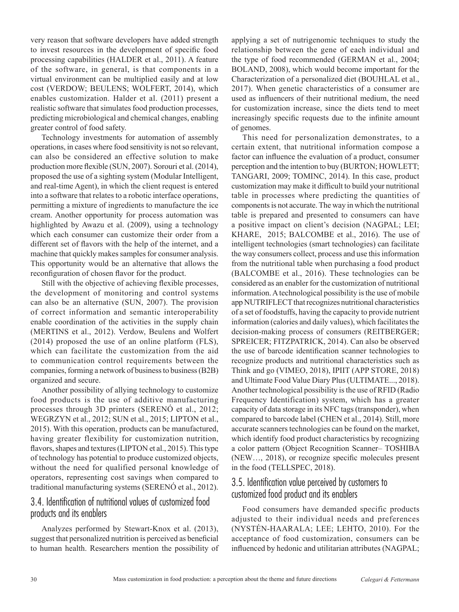very reason that software developers have added strength to invest resources in the development of specific food processing capabilities (HALDER et al., 2011). A feature of the software, in general, is that components in a virtual environment can be multiplied easily and at low cost (VERDOW; BEULENS; WOLFERT, 2014), which enables customization. Halder et al. (2011) present a realistic software that simulates food production processes, predicting microbiological and chemical changes, enabling greater control of food safety.

Technology investments for automation of assembly operations, in cases where food sensitivity is not so relevant, can also be considered an effective solution to make production more flexible (SUN, 2007). Sorouri et al. (2014), proposed the use of a sighting system (Modular Intelligent, and real-time Agent), in which the client request is entered into a software that relates to a robotic interface operations, permitting a mixture of ingredients to manufacture the ice cream. Another opportunity for process automation was highlighted by Awazu et al. (2009), using a technology which each consumer can customize their order from a different set of flavors with the help of the internet, and a machine that quickly makes samples for consumer analysis. This opportunity would be an alternative that allows the reconfiguration of chosen flavor for the product.

Still with the objective of achieving flexible processes, the development of monitoring and control systems can also be an alternative (SUN, 2007). The provision of correct information and semantic interoperability enable coordination of the activities in the supply chain (MERTINS et al., 2012). Verdow, Beulens and Wolfert (2014) proposed the use of an online platform (FLS), which can facilitate the customization from the aid to communication control requirements between the companies, forming a network of business to business (B2B) organized and secure.

Another possibility of allying technology to customize food products is the use of additive manufacturing processes through 3D printers (SERENÓ et al., 2012; WEGRZYN et al., 2012; SUN et al., 2015; LIPTON et al., 2015). With this operation, products can be manufactured, having greater flexibility for customization nutrition, flavors, shapes and textures (LIPTON et al., 2015). This type of technology has potential to produce customized objects, without the need for qualified personal knowledge of operators, representing cost savings when compared to traditional manufacturing systems (SERENÓ et al., 2012).

# 3.4. Identification of nutritional values of customized food products and its enablers

Analyzes performed by Stewart-Knox et al. (2013), suggest that personalized nutrition is perceived as beneficial to human health. Researchers mention the possibility of

applying a set of nutrigenomic techniques to study the relationship between the gene of each individual and the type of food recommended (GERMAN et al., 2004; BOLAND, 2008), which would become important for the Characterization of a personalized diet (BOUHLAL et al., 2017). When genetic characteristics of a consumer are used as influencers of their nutritional medium, the need for customization increase, since the diets tend to meet increasingly specific requests due to the infinite amount of genomes.

This need for personalization demonstrates, to a certain extent, that nutritional information compose a factor can influence the evaluation of a product, consumer perception and the intention to buy (BURTON; HOWLETT; TANGARI, 2009; TOMINC, 2014). In this case, product customization may make it difficult to build your nutritional table in processes where predicting the quantities of components is not accurate. The way in which the nutritional table is prepared and presented to consumers can have a positive impact on client's decision (NAGPAL; LEI; KHARE, 2015; BALCOMBE et al., 2016). The use of intelligent technologies (smart technologies) can facilitate the way consumers collect, process and use this information from the nutritional table when purchasing a food product (BALCOMBE et al., 2016). These technologies can be considered as an enabler for the customization of nutritional information. A technological possibility is the use of mobile app NUTRIFLECT that recognizes nutritional characteristics of a set of foodstuffs, having the capacity to provide nutrient information (calories and daily values), which facilitates the decision-making process of consumers (REITBERGER; SPREICER; FITZPATRICK, 2014). Can also be observed the use of barcode identification scanner technologies to recognize products and nutritional characteristics such as Think and go (VIMEO, 2018), IPIIT (APP STORE, 2018) and Ultimate Food Value Diary Plus (ULTIMATE..., 2018). Another technological possibility is the use of RFID (Radio Frequency Identification) system, which has a greater capacity of data storage in its NFC tags (transponder), when compared to barcode label (CHEN et al., 2014). Still, more accurate scanners technologies can be found on the market, which identify food product characteristics by recognizing a color pattern (Object Recognition Scanner– TOSHIBA (NEW…, 2018), or recognize specific molecules present in the food (TELLSPEC, 2018).

# 3.5. Identification value perceived by customers to customized food product and its enablers

Food consumers have demanded specific products adjusted to their individual needs and preferences ([NYSTÉN‑HAARALA](https://www.emeraldinsight.com/author/Nyst%C3%A9n-Haarala%2C+Soili); LEE; LEHTO, 2010). For the acceptance of food customization, consumers can be influenced by hedonic and utilitarian attributes (NAGPAL;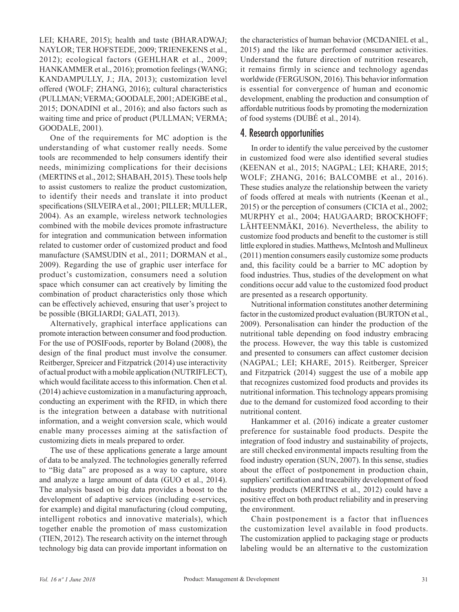LEI; KHARE, 2015); health and taste (BHARADWAJ; NAYLOR; TER HOFSTEDE, 2009; TRIENEKENS et al., 2012); ecological factors (GEHLHAR et al., 2009; HANKAMMER et al., 2016); promotion feelings (WANG; KANDAMPULLY, J.; JIA, 2013); customization level offered (WOLF; ZHANG, 2016); cultural characteristics (PULLMAN; VERMA; GOODALE, 2001; ADEIGBE et al., 2015; DONADINI et al., 2016); and also factors such as waiting time and price of product (PULLMAN; VERMA; GOODALE, 2001).

One of the requirements for MC adoption is the understanding of what customer really needs. Some tools are recommended to help consumers identify their needs, minimizing complications for their decisions (MERTINS et al., 2012; SHABAH, 2015). These tools help to assist customers to realize the product customization, to identify their needs and translate it into product specifications (SILVEIRAet al., 2001; PILLER; MULLER, 2004). As an example, wireless network technologies combined with the mobile devices promote infrastructure for integration and communication between information related to customer order of customized product and food manufacture (SAMSUDIN et al., 2011; DORMAN et al., 2009). Regarding the use of graphic user interface for product's customization, consumers need a solution space which consumer can act creatively by limiting the combination of product characteristics only those which can be effectively achieved, ensuring that user's project to be possible (BIGLIARDI; GALATI, 2013).

Alternatively, graphical interface applications can promote interaction between consumer and food production. For the use of POSIFoods, reporter by Boland (2008), the design of the final product must involve the consumer. Reitberger, Spreicer and Fitzpatrick (2014) use interactivity of actual product with a mobile application (NUTRIFLECT), which would facilitate access to this information. Chen et al. (2014) achieve customization in a manufacturing approach, conducting an experiment with the RFID, in which there is the integration between a database with nutritional information, and a weight conversion scale, which would enable many processes aiming at the satisfaction of customizing diets in meals prepared to order.

The use of these applications generate a large amount of data to be analyzed. The technologies generally referred to "Big data" are proposed as a way to capture, store and analyze a large amount of data (GUO et al., 2014). The analysis based on big data provides a boost to the development of adaptive services (including e-services, for example) and digital manufacturing (cloud computing, intelligent robotics and innovative materials), which together enable the promotion of mass customization (TIEN, 2012). The research activity on the internet through technology big data can provide important information on

the characteristics of human behavior (MCDANIEL et al., 2015) and the like are performed consumer activities. Understand the future direction of nutrition research, it remains firmly in science and technology agendas worldwide (FERGUSON, 2016). This behavior information is essential for convergence of human and economic development, enabling the production and consumption of affordable nutritious foods by promoting the modernization of food systems (DUBÉ et al., 2014).

# 4. Research opportunities

In order to identify the value perceived by the customer in customized food were also identified several studies (KEENAN et al., 2015; NAGPAL; LEI; KHARE, 2015; WOLF; ZHANG, 2016; BALCOMBE et al., 2016). These studies analyze the relationship between the variety of foods offered at meals with nutrients (Keenan et al., 2015) or the perception of consumers (CICIA et al., 2002; MURPHY et al., 2004; HAUGAARD; BROCKHOFF; LÄHTEENMÄKI, 2016). Nevertheless, the ability to customize food products and benefit to the customer is still little explored in studies. Matthews, McIntosh and Mullineux (2011) mention consumers easily customize some products and, this facility could be a barrier to MC adoption by food industries. Thus, studies of the development on what conditions occur add value to the customized food product are presented as a research opportunity.

Nutritional information constitutes another determining factor in the customized product evaluation (BURTON et al., 2009). Personalisation can hinder the production of the nutritional table depending on food industry embracing the process. However, the way this table is customized and presented to consumers can affect customer decision (NAGPAL; LEI; KHARE, 2015). Reitberger, Spreicer and Fitzpatrick (2014) suggest the use of a mobile app that recognizes customized food products and provides its nutritional information. This technology appears promising due to the demand for customized food according to their nutritional content.

Hankammer et al. (2016) indicate a greater customer preference for sustainable food products. Despite the integration of food industry and sustainability of projects, are still checked environmental impacts resulting from the food industry operation (SUN, 2007). In this sense, studies about the effect of postponement in production chain, suppliers' certification and traceability development of food industry products (MERTINS et al., 2012) could have a positive effect on both product reliability and in preserving the environment.

Chain postponement is a factor that influences the customization level available in food products. The customization applied to packaging stage or products labeling would be an alternative to the customization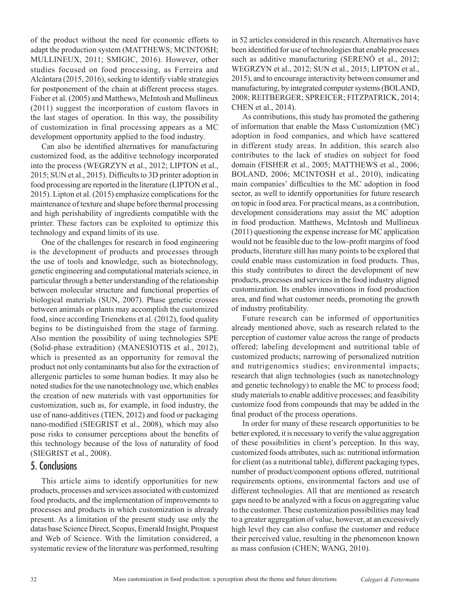of the product without the need for economic efforts to adapt the production system (MATTHEWS; MCINTOSH; MULLINEUX, 2011; SMIGIC, 2016). However, other studies focused on food processing, as Ferreira and Alcântara (2015, 2016), seeking to identify viable strategies for postponement of the chain at different process stages. Fisher et al. (2005) and Matthews, McIntosh and Mullineux (2011) suggest the incorporation of custom flavors in the last stages of operation. In this way, the possibility of customization in final processing appears as a MC development opportunity applied to the food industry.

Can also be identified alternatives for manufacturing customized food, as the additive technology incorporated into the process (WEGRZYN et al., 2012; LIPTON et al., 2015; SUN et al., 2015). Difficults to 3D printer adoption in food processing are reported in the literature (LIPTON et al., 2015). Lipton et al. (2015) emphasize complications for the maintenance of texture and shape before thermal processing and high perishability of ingredients compatible with the printer. These factors can be exploited to optimize this technology and expand limits of its use.

One of the challenges for research in food engineering is the development of products and processes through the use of tools and knowledge, such as biotechnology, genetic engineering and computational materials science, in particular through a better understanding of the relationship between molecular structure and functional properties of biological materials (SUN, 2007). Phase genetic crosses between animals or plants may accomplish the customized food, since according Trienekens et al. (2012), food quality begins to be distinguished from the stage of farming. Also mention the possibility of using technologies SPE (Solid‑phase extradition) (MANESIOTIS et al., 2012), which is presented as an opportunity for removal the product not only contaminants but also for the extraction of allergenic particles to some human bodies. It may also be noted studies for the use nanotechnology use, which enables the creation of new materials with vast opportunities for customization, such as, for example, in food industry, the use of nano-additives (TIEN, 2012) and food or packaging nano-modified (SIEGRIST et al., 2008), which may also pose risks to consumer perceptions about the benefits of this technology because of the loss of naturality of food (SIEGRIST et al., 2008).

#### 5. Conclusions

This article aims to identify opportunities for new products, processes and services associated with customized food products, and the implementation of improvements to processes and products in which customization is already present. As a limitation of the present study use only the datas base Science Direct, Scopus, Emerald Insight, Proquest and Web of Science. With the limitation considered, a systematic review of the literature was performed, resulting

in 52 articles considered in this research. Alternatives have been identified for use of technologies that enable processes such as additive manufacturing (SERENÓ et al., 2012; WEGRZYN et al., 2012; SUN et al., 2015; LIPTON et al., 2015), and to encourage interactivity between consumer and manufacturing, by integrated computer systems (BOLAND, 2008; REITBERGER; SPREICER; FITZPATRICK, 2014; CHEN et al., 2014).

As contributions, this study has promoted the gathering of information that enable the Mass Customization (MC) adoption in food companies, and which have scattered in different study areas. In addition, this search also contributes to the lack of studies on subject for food domain (FISHER et al., 2005; MATTHEWS et al., 2006; BOLAND, 2006; MCINTOSH et al., 2010), indicating main companies' difficulties to the MC adoption in food sector, as well to identify opportunities for future research on topic in food area. For practical means, as a contribution, development considerations may assist the MC adoption in food production. Matthews, McIntosh and Mullineux (2011) questioning the expense increase for MC application would not be feasible due to the low-profit margins of food products, literature still has many points to be explored that could enable mass customization in food products. Thus, this study contributes to direct the development of new products, processes and services in the food industry aligned customization. Its enables innovations in food production area, and find what customer needs, promoting the growth of industry profitability.

Future research can be informed of opportunities already mentioned above, such as research related to the perception of customer value across the range of products offered; labeling development and nutritional table of customized products; narrowing of personalized nutrition and nutrigenomics studies; environmental impacts; research that align technologies (such as nanotechnology and genetic technology) to enable the MC to process food; study materials to enable additive processes; and feasibility customize food from compounds that may be added in the final product of the process operations.

In order for many of these research opportunities to be better explored, it is necessary to verify the value aggregation of these possibilities in client's perception. In this way, customized foods attributes, such as: nutritional information for client (as a nutritional table), different packaging types, number of product/component options offered, nutritional requirements options, environmental factors and use of different technologies. All that are mentioned as research gaps need to be analyzed with a focus on aggregating value to the customer. These customization possibilities may lead to a greater aggregation of value, however, at an excessively high level they can also confuse the customer and reduce their perceived value, resulting in the phenomenon known as mass confusion (CHEN; WANG, 2010).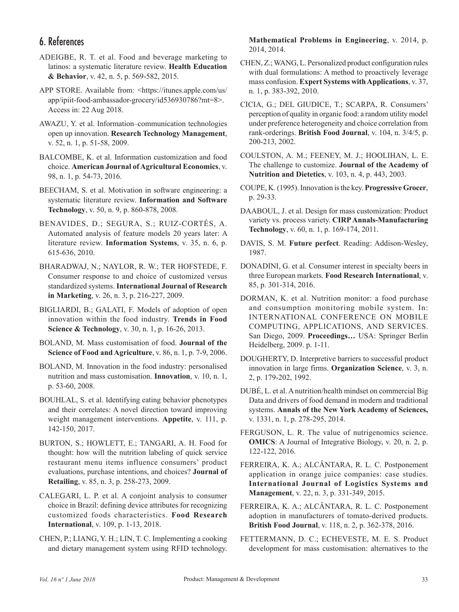# 6. References

- ADEIGBE, R. T. et al. Food and beverage marketing to latinos: a systematic literature review. **Health Education & Behavior**, v. 42, n. 5, p. 569-582, 2015.
- APP STORE. Available from: [<https://itunes.apple.com/us/](https://itunes.apple.com/us/app/ipiit-food-ambassador-grocery/id536930786?mt=8) [app/ipiit-food-ambassador-grocery/id536930786?mt=8>](https://itunes.apple.com/us/app/ipiit-food-ambassador-grocery/id536930786?mt=8). Access in: 22 Aug 2018.
- AWAZU, Y. et al. Information–communication technologies open up innovation. **Research Technology Management**, v. 52, n. 1, p. 51-58, 2009.
- BALCOMBE, K. et al. Information customization and food choice. **American Journal of Agricultural Economics**, v. 98, n. 1, p. 54-73, 2016.
- BEECHAM, S. et al. Motivation in software engineering: a systematic literature review. **Information and Software Technology**, v. 50, n. 9, p. 860-878, 2008.
- BENAVIDES, D.; SEGURA, S.; RUIZ-CORTÉS, A. Automated analysis of feature models 20 years later: A literature review. **Information Systems**, v. 35, n. 6, p. 615-636, 2010.
- BHARADWAJ, N.; NAYLOR, R. W.; TER HOFSTEDE, F. Consumer response to and choice of customized versus standardized systems. **International Journal of Research in Marketing**, v. 26, n. 3, p. 216-227, 2009.
- BIGLIARDI, B.; GALATI, F. Models of adoption of open innovation within the food industry. **Trends in Food Science & Technology**, v. 30, n. 1, p. 16-26, 2013.
- BOLAND, M. Mass customisation of food. **Journal of the Science of Food and Agriculture**, v. 86, n. 1, p. 7-9, 2006.
- BOLAND, M. Innovation in the food industry: personalised nutrition and mass customisation. **Innovation**, v. 10, n. 1, p. 53-60, 2008.
- BOUHLAL, S. et al. Identifying eating behavior phenotypes and their correlates: A novel direction toward improving weight management interventions. **Appetite**, v. 111, p. 142-150, 2017.
- BURTON, S.; HOWLETT, E.; TANGARI, A. H. Food for thought: how will the nutrition labeling of quick service restaurant menu items influence consumers' product evaluations, purchase intentions, and choices? **Journal of Retailing**, v. 85, n. 3, p. 258-273, 2009.
- CALEGARI, L. P. et al. A conjoint analysis to consumer choice in Brazil: defining device attributes for recognizing customized foods characteristics. **Food Research International**, v. 109, p. 1-13, 2018.
- CHEN, P.; LIANG, Y. H.; LIN, T. C. Implementing a cooking and dietary management system using RFID technology.

**Mathematical Problems in Engineering**, v. 2014, p. 2014, 2014.

- CHEN, Z.; WANG, L. Personalized product configuration rules with dual formulations: A method to proactively leverage mass confusion. **Expert Systems with Applications**, v. 37, n. 1, p. 383-392, 2010.
- CICIA, G.; DEL GIUDICE, T.; SCARPA, R. Consumers' perception of quality in organic food: a random utility model under preference heterogeneity and choice correlation from rank-orderings. **British Food Journal**, v. 104, n. 3/4/5, p. 200-213, 2002.
- COULSTON, A. M.; FEENEY, M. J.; HOOLIHAN, L. E. The challenge to customize. **Journal of the Academy of Nutrition and Dietetics**, v. 103, n. 4, p. 443, 2003.
- COUPE, K. (1995). Innovation is the key. **Progressive Grocer**, p. 29-33.
- DAABOUL, J. et al. Design for mass customization: Product variety vs. process variety. **CIRP Annals-Manufacturing Technology**, v. 60, n. 1, p. 169-174, 2011.
- DAVIS, S. M. **Future perfect**. Reading: Addison-Wesley, 1987.
- DONADINI, G. et al. Consumer interest in specialty beers in three European markets. **Food Research International**, v. 85, p. 301-314, 2016.
- DORMAN, K. et al. Nutrition monitor: a food purchase and consumption monitoring mobile system. In: INTERNATIONAL CONFERENCE ON MOBILE COMPUTING, APPLICATIONS, AND SERVICES. San Diego, 2009. **Proceedings…** USA: Springer Berlin Heidelberg, 2009. p. 1-11.
- DOUGHERTY, D. Interpretive barriers to successful product innovation in large firms. **Organization Science**, v. 3, n. 2, p. 179-202, 1992.
- DUBÉ, L. et al. A nutrition/health mindset on commercial Big Data and drivers of food demand in modern and traditional systems. **Annals of the New York Academy of Sciences,**  v. 1331, n. 1, p. 278-295, 2014.
- FERGUSON, L. R. The value of nutrigenomics science. **OMICS**: A Journal of Integrative Biology, v. 20, n. 2, p. 122-122, 2016.
- FERREIRA, K. A.; ALCÂNTARA, R. L. C. Postponement application in orange juice companies: case studies. **International Journal of Logistics Systems and Management**, v. 22, n. 3, p. 331-349, 2015.
- FERREIRA, K. A.; ALCÂNTARA, R. L. C. Postponement adoption in manufacturers of tomato-derived products. **British Food Journal**, v. 118, n. 2, p. 362-378, 2016.
- FETTERMANN, D. C.; ECHEVESTE, M. E. S. Product development for mass customisation: alternatives to the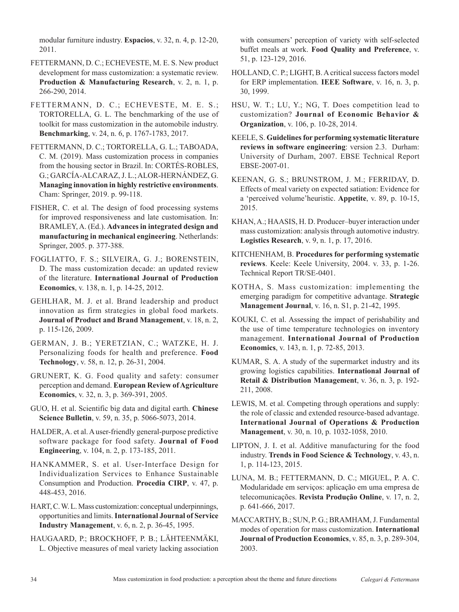modular furniture industry. **Espacios**, v. 32, n. 4, p. 12-20, 2011.

- FETTERMANN, D. C.; ECHEVESTE, M. E. S. New product development for mass customization: a systematic review. **Production & Manufacturing Research**, v. 2, n. 1, p. 266-290, 2014.
- FETTERMANN, D. C.; ECHEVESTE, M. E. S.; TORTORELLA, G. L. The benchmarking of the use of toolkit for mass customization in the automobile industry. **Benchmarking**, v. 24, n. 6, p. 1767-1783, 2017.
- FETTERMANN, D. C.; TORTORELLA, G. L.; TABOADA, C. M. (2019). Mass customization process in companies from the housing sector in Brazil. In: CORTÉS-ROBLES, G.; GARCÍA-ALCARAZ, J. L.; ALOR-HERNÁNDEZ, G. **Managing innovation in highly restrictive environments**. Cham: Springer, 2019. p. 99-118.
- FISHER, C. et al. The design of food processing systems for improved responsiveness and late customisation. In: BRAMLEY, A. (Ed.). **Advances in integrated design and manufacturing in mechanical engineering**. Netherlands: Springer, 2005. p. 377-388.
- FOGLIATTO, F. S.; SILVEIRA, G. J.; BORENSTEIN, D. The mass customization decade: an updated review of the literature. **International Journal of Production Economics**, v. 138, n. 1, p. 14-25, 2012.
- GEHLHAR, M. J. et al. Brand leadership and product innovation as firm strategies in global food markets. **Journal of Product and Brand Management**, v. 18, n. 2, p. 115-126, 2009.
- GERMAN, J. B.; YERETZIAN, C.; WATZKE, H. J. Personalizing foods for health and preference. **Food Technology**, v. 58, n. 12, p. 26-31, 2004.
- GRUNERT, K. G. Food quality and safety: consumer perception and demand. **European Review of Agriculture Economics**, v. 32, n. 3, p. 369-391, 2005.
- GUO, H. et al. Scientific big data and digital earth. **Chinese Science Bulletin**, v. 59, n. 35, p. 5066-5073, 2014.
- HALDER, A. et al. A user-friendly general-purpose predictive software package for food safety. **Journal of Food Engineering**, v. 104, n. 2, p. 173-185, 2011.
- HANKAMMER, S. et al. User-Interface Design for Individualization Services to Enhance Sustainable Consumption and Production. **Procedia CIRP**, v. 47, p. 448-453, 2016.
- HART, C. W. L. Mass customization: conceptual underpinnings, opportunities and limits. **International Journal of Service Industry Management**, v. 6, n. 2, p. 36-45, 1995.
- HAUGAARD, P.; BROCKHOFF, P. B.; LÄHTEENMÄKI, L. Objective measures of meal variety lacking association

with consumers' perception of variety with self-selected buffet meals at work. **Food Quality and Preference**, v. 51, p. 123-129, 2016.

- HOLLAND, C. P.; LIGHT, B. A critical success factors model for ERP implementation. **IEEE Software**, v. 16, n. 3, p. 30, 1999.
- HSU, W. T.; LU, Y.; NG, T. Does competition lead to customization? **Journal of Economic Behavior & Organization**, v. 106, p. 10-28, 2014.
- KEELE, S. **Guidelines for performing systematic literature reviews in software engineering**: version 2.3. Durham: University of Durham, 2007. EBSE Technical Report EBSE-2007-01.
- KEENAN, G. S.; BRUNSTROM, J. M.; FERRIDAY, D. Effects of meal variety on expected satiation: Evidence for a 'perceived volume'heuristic. **Appetite**, v. 89, p. 10-15, 2015.
- KHAN, A.; HAASIS, H. D. Producer–buyer interaction under mass customization: analysis through automotive industry. **Logistics Research**, v. 9, n. 1, p. 17, 2016.
- KITCHENHAM, B. **Procedures for performing systematic reviews**. Keele: Keele University, 2004. v. 33, p. 1-26. Technical Report TR/SE-0401.
- KOTHA, S. Mass customization: implementing the emerging paradigm for competitive advantage. **Strategic Management Journal**, v. 16, n. S1, p. 21-42, 1995.
- KOUKI, C. et al. Assessing the impact of perishability and the use of time temperature technologies on inventory management. **International Journal of Production Economics**, v. 143, n. 1, p. 72-85, 2013.
- KUMAR, S. A. A study of the supermarket industry and its growing logistics capabilities. **International Journal of Retail & Distribution Management**, v. 36, n. 3, p. 192- 211, 2008.
- LEWIS, M. et al. Competing through operations and supply: the role of classic and extended resource-based advantage. **International Journal of Operations & Production Management**, v. 30, n. 10, p. 1032-1058, 2010.
- LIPTON, J. I. et al. Additive manufacturing for the food industry. **Trends in Food Science & Technology**, v. 43, n. 1, p. 114-123, 2015.
- LUNA, M. B.; FETTERMANN, D. C.; MIGUEL, P. A. C. Modularidade em serviços: aplicação em uma empresa de telecomunicações. **Revista Produção Online**, v. 17, n. 2, p. 641-666, 2017.
- MACCARTHY, B.; SUN, P. G.; BRAMHAM, J. Fundamental modes of operation for mass customization. **International Journal of Production Economics**, v. 85, n. 3, p. 289-304, 2003.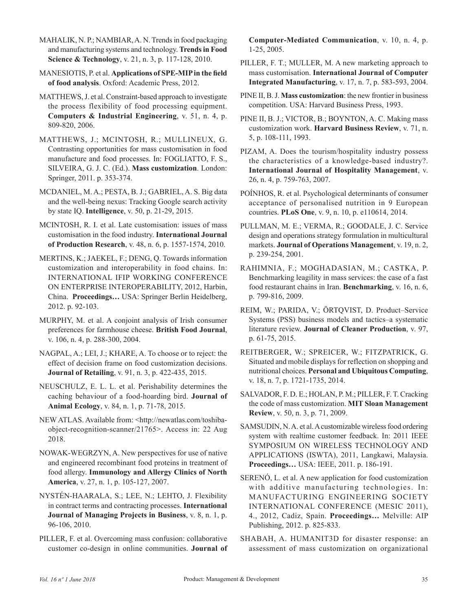MAHALIK, N. P.; NAMBIAR, A. N. Trends in food packaging and manufacturing systems and technology. **Trends in Food Science & Technology**, v. 21, n. 3, p. 117-128, 2010.

MANESIOTIS, P. et al. **Applications of SPE-MIP in the field of food analysis**. Oxford: Academic Press, 2012.

MATTHEWS, J. et al. Constraint-based approach to investigate the process flexibility of food processing equipment. **Computers & Industrial Engineering**, v. 51, n. 4, p. 809-820, 2006.

MATTHEWS, J.; MCINTOSH, R.; MULLINEUX, G. Contrasting opportunities for mass customisation in food manufacture and food processes. In: FOGLIATTO, F. S., SILVEIRA, G. J. C. (Ed.). **Mass customization**. London: Springer, 2011. p. 353-374.

MCDANIEL, M. A.; PESTA, B. J.; GABRIEL, A. S. Big data and the well-being nexus: Tracking Google search activity by state IQ. **Intelligence**, v. 50, p. 21-29, 2015.

MCINTOSH, R. I. et al. Late customisation: issues of mass customisation in the food industry. **International Journal of Production Research**, v. 48, n. 6, p. 1557-1574, 2010.

MERTINS, K.; JAEKEL, F.; DENG, Q. Towards information customization and interoperability in food chains. In: INTERNATIONAL IFIP WORKING CONFERENCE ON ENTERPRISE INTEROPERABILITY, 2012, Harbin, China. **Proceedings…** USA: Springer Berlin Heidelberg, 2012. p. 92-103.

MURPHY, M. et al. A conjoint analysis of Irish consumer preferences for farmhouse cheese. **British Food Journal**, v. 106, n. 4, p. 288-300, 2004.

NAGPAL, A.; LEI, J.; KHARE, A. To choose or to reject: the effect of decision frame on food customization decisions. **Journal of Retailing**, v. 91, n. 3, p. 422-435, 2015.

NEUSCHULZ, E. L. L. et al. Perishability determines the caching behaviour of a food-hoarding bird. **Journal of Animal Ecology**, v. 84, n. 1, p. 71-78, 2015.

NEW ATLAS. Available from: [<http://newatlas.com/toshiba](http://newatlas.com/toshiba-object-recognition-scanner/21765)[object-recognition-scanner/21765](http://newatlas.com/toshiba-object-recognition-scanner/21765)>. Access in: 22 Aug 2018.

NOWAK-WEGRZYN, A. New perspectives for use of native and engineered recombinant food proteins in treatment of food allergy. **Immunology and Allergy Clinics of North America**, v. 27, n. 1, p. 105-127, 2007.

[NYSTÉN-HAARALA,](https://www.emeraldinsight.com/author/Nyst%C3%A9n-Haarala%2C+Soili) S.; LEE, N.; LEHTO, J. Flexibility in contract terms and contracting processes. **International Journal of Managing Projects in Business**, v. 8, n. 1, p. 96-106, 2010.

PILLER, F. et al. Overcoming mass confusion: collaborative customer co-design in online communities. **Journal of**  **Computer‐Mediated Communication**, v. 10, n. 4, p. 1-25, 2005.

PILLER, F. T.; MULLER, M. A new marketing approach to mass customisation. **International Journal of Computer Integrated Manufacturing**, v. 17, n. 7, p. 583-593, 2004.

PINE II, B. J. **Mass customization**: the new frontier in business competition. USA: Harvard Business Press, 1993.

PINE II, B. J.; VICTOR, B.; BOYNTON, A. C. Making mass customization work. **Harvard Business Review**, v. 71, n. 5, p. 108-111, 1993.

PIZAM, A. Does the tourism/hospitality industry possess the characteristics of a knowledge-based industry?. **International Journal of Hospitality Management**, v. 26, n. 4, p. 759-763, 2007.

POÍNHOS, R. et al. Psychological determinants of consumer acceptance of personalised nutrition in 9 European countries. **PLoS One**, v. 9, n. 10, p. e110614, 2014.

PULLMAN, M. E.; VERMA, R.; GOODALE, J. C. Service design and operations strategy formulation in multicultural markets. **Journal of Operations Management**, v. 19, n. 2, p. 239-254, 2001.

RAHIMNIA, F.; MOGHADASIAN, M.; CASTKA, P. Benchmarking leagility in mass services: the case of a fast food restaurant chains in Iran. **Benchmarking**, v. 16, n. 6, p. 799-816, 2009.

REIM, W.; PARIDA, V.; ÖRTQVIST, D. Product–Service Systems (PSS) business models and tactics–a systematic literature review. **Journal of Cleaner Production**, v. 97, p. 61-75, 2015.

REITBERGER, W.; SPREICER, W.; FITZPATRICK, G. Situated and mobile displays for reflection on shopping and nutritional choices. **Personal and Ubiquitous Computing**, v. 18, n. 7, p. 1721-1735, 2014.

SALVADOR, F. D. E.; HOLAN, P. M.; PILLER, F. T. Cracking the code of mass customization. **MIT Sloan Management Review**, v. 50, n. 3, p. 71, 2009.

SAMSUDIN, N. A. et al. A customizable wireless food ordering system with realtime customer feedback. In: 2011 IEEE SYMPOSIUM ON WIRELESS TECHNOLOGY AND APPLICATIONS (ISWTA), 2011, Langkawi, Malaysia. **Proceedings…** USA: IEEE, 2011. p. 186-191.

SERENÓ, L. et al. A new application for food customization with additive manufacturing technologies. In: MANUFACTURING ENGINEERING SOCIETY INTERNATIONAL CONFERENCE (MESIC 2011), 4., 2012, Cadiz, Spain. **Proceedings…** Melville: AIP Publishing, 2012. p. 825-833.

SHABAH, A. HUMANIT3D for disaster response: an assessment of mass customization on organizational